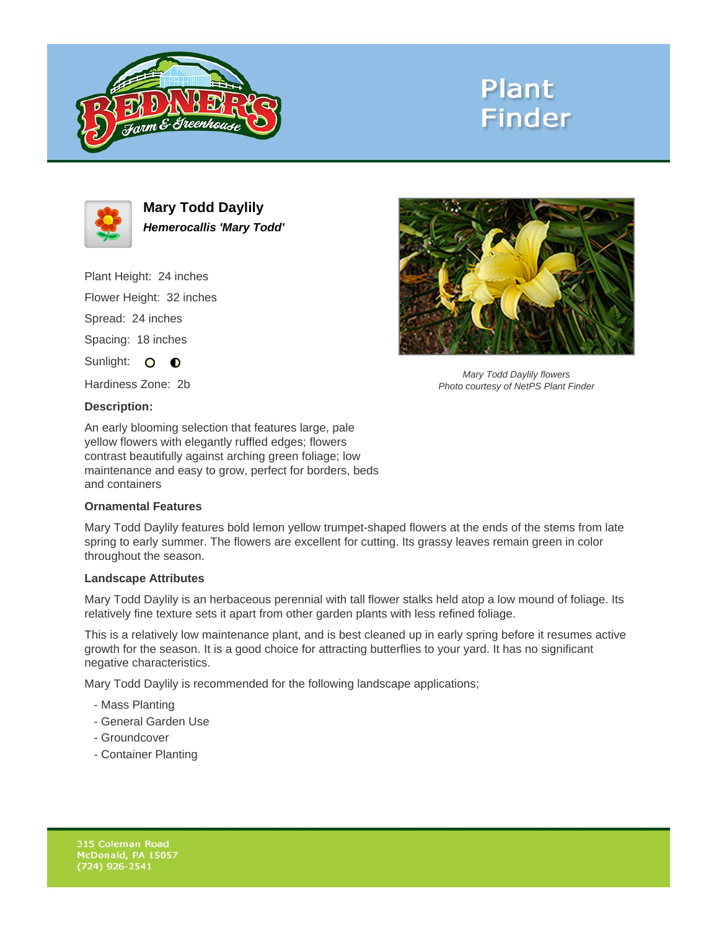

# **Plant Finder**



**Mary Todd Daylily Hemerocallis 'Mary Todd'**

Plant Height: 24 inches Flower Height: 32 inches Spread: 24 inches Spacing: 18 inches Sunlight: O **O** 

Hardiness Zone: 2b

### **Description:**

An early blooming selection that features large, pale yellow flowers with elegantly ruffled edges; flowers contrast beautifully against arching green foliage; low maintenance and easy to grow, perfect for borders, beds and containers

### **Ornamental Features**

Mary Todd Daylily features bold lemon yellow trumpet-shaped flowers at the ends of the stems from late spring to early summer. The flowers are excellent for cutting. Its grassy leaves remain green in color throughout the season.

#### **Landscape Attributes**

Mary Todd Daylily is an herbaceous perennial with tall flower stalks held atop a low mound of foliage. Its relatively fine texture sets it apart from other garden plants with less refined foliage.

This is a relatively low maintenance plant, and is best cleaned up in early spring before it resumes active growth for the season. It is a good choice for attracting butterflies to your yard. It has no significant negative characteristics.

Mary Todd Daylily is recommended for the following landscape applications;

- Mass Planting
- General Garden Use
- Groundcover
- Container Planting



Mary Todd Daylily flowers Photo courtesy of NetPS Plant Finder